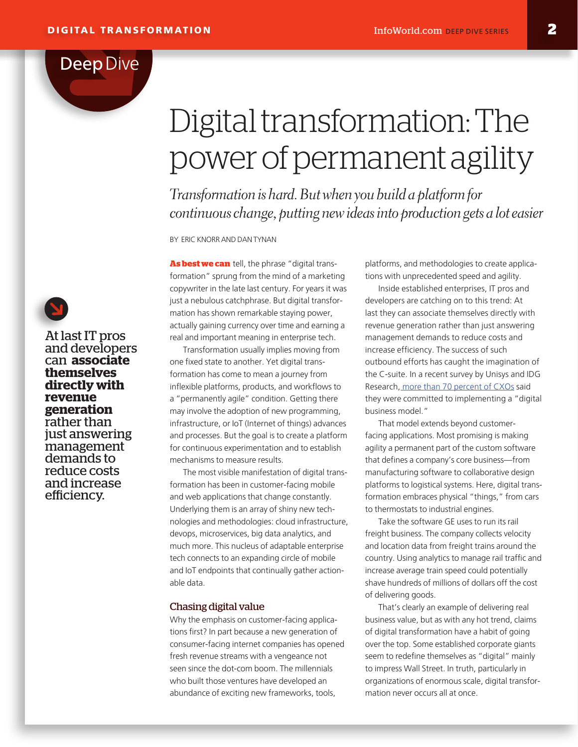# Digital transformation: The power of permanent agility

*Transformation is hard. But when you build a platform for continuous change, putting new ideas into production gets a lot easier* 

BY ERIC KNORR AND DAN TYNAN

**As best we can** tell, the phrase "digital transformation" sprung from the mind of a marketing copywriter in the late last century. For years it was just a nebulous catchphrase. But digital transformation has shown remarkable staying power, actually gaining currency over time and earning a real and important meaning in enterprise tech.

Transformation usually implies moving from one fixed state to another. Yet digital transformation has come to mean a journey from inflexible platforms, products, and workflows to a "permanently agile" condition. Getting there may involve the adoption of new programming, infrastructure, or IoT (Internet of things) advances and processes. But the goal is to create a platform for continuous experimentation and to establish mechanisms to measure results.

The most visible manifestation of digital transformation has been in customer-facing mobile and web applications that change constantly. Underlying them is an array of shiny new technologies and methodologies: cloud infrastructure, devops, microservices, big data analytics, and much more. This nucleus of adaptable enterprise tech connects to an expanding circle of mobile and IoT endpoints that continually gather actionable data.

# Chasing digital value

Why the emphasis on customer-facing applications first? In part because a new generation of consumer-facing internet companies has opened fresh revenue streams with a vengeance not seen since the dot-com boom. The millennials who built those ventures have developed an abundance of exciting new frameworks, tools,

platforms, and methodologies to create applications with unprecedented speed and agility.

Inside established enterprises, IT pros and developers are catching on to this trend: At last they can associate themselves directly with revenue generation rather than just answering management demands to reduce costs and increase efficiency. The success of such outbound efforts has caught the imagination of the C-suite. In a recent survey by Unisys and IDG Research[, more than 70 percent of CXOs](http://www.unisys.com/offerings/cloud-and-enterprise-compute-services/news%20release/unisys-study-executives-committed-to-digital-business-despite-security-concerns) said they were committed to implementing a "digital business model."

That model extends beyond customerfacing applications. Most promising is making agility a permanent part of the custom software that defines a company's core business—from manufacturing software to collaborative design platforms to logistical systems. Here, digital transformation embraces physical "things," from cars to thermostats to industrial engines.

Take the software GE uses to run its rail freight business. The company collects velocity and location data from freight trains around the country. Using analytics to manage rail traffic and increase average train speed could potentially shave hundreds of millions of dollars off the cost of delivering goods.

That's clearly an example of delivering real business value, but as with any hot trend, claims of digital transformation have a habit of going over the top. Some established corporate giants seem to redefine themselves as "digital" mainly to impress Wall Street. In truth, particularly in organizations of enormous scale, digital transformation never occurs all at once.



At last IT pros and developers can **associate themselves directly with revenue generation**  rather than just answering management demands to reduce costs and increase efficiency.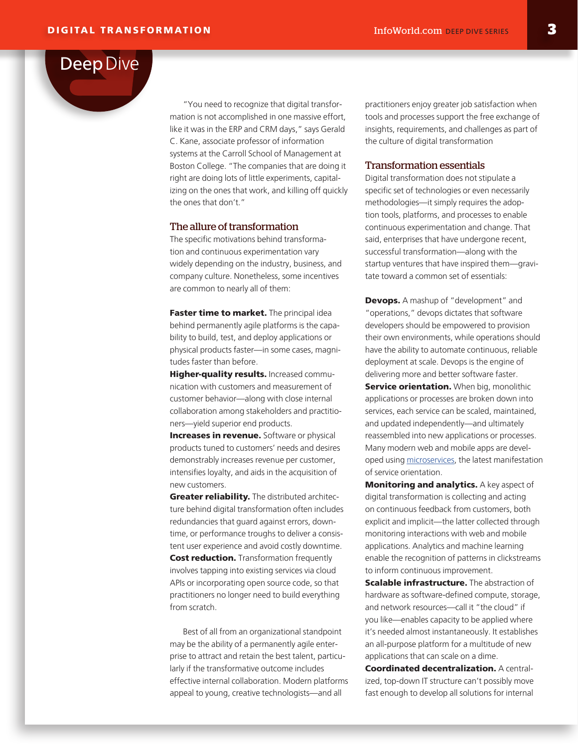

"You need to recognize that digital transformation is not accomplished in one massive effort, like it was in the ERP and CRM days," says Gerald C. Kane, associate professor of information systems at the Carroll School of Management at Boston College. "The companies that are doing it right are doing lots of little experiments, capitalizing on the ones that work, and killing off quickly the ones that don't."

## The allure of transformation

The specific motivations behind transformation and continuous experimentation vary widely depending on the industry, business, and company culture. Nonetheless, some incentives are common to nearly all of them:

Faster time to market. The principal idea behind permanently agile platforms is the capability to build, test, and deploy applications or physical products faster—in some cases, magnitudes faster than before.

Higher-quality results. Increased communication with customers and measurement of customer behavior—along with close internal collaboration among stakeholders and practitioners—yield superior end products.

**Increases in revenue.** Software or physical products tuned to customers' needs and desires demonstrably increases revenue per customer, intensifies loyalty, and aids in the acquisition of new customers.

Greater reliability. The distributed architecture behind digital transformation often includes redundancies that guard against errors, downtime, or performance troughs to deliver a consistent user experience and avoid costly downtime. **Cost reduction.** Transformation frequently involves tapping into existing services via cloud APIs or incorporating open source code, so that practitioners no longer need to build everything from scratch.

Best of all from an organizational standpoint may be the ability of a permanently agile enterprise to attract and retain the best talent, particularly if the transformative outcome includes effective internal collaboration. Modern platforms appeal to young, creative technologists—and all

practitioners enjoy greater job satisfaction when tools and processes support the free exchange of insights, requirements, and challenges as part of the culture of digital transformation

# Transformation essentials

Digital transformation does not stipulate a specific set of technologies or even necessarily methodologies—it simply requires the adoption tools, platforms, and processes to enable continuous experimentation and change. That said, enterprises that have undergone recent, successful transformation—along with the startup ventures that have inspired them—gravitate toward a common set of essentials:

**Devops.** A mashup of "development" and "operations," devops dictates that software developers should be empowered to provision their own environments, while operations should have the ability to automate continuous, reliable deployment at scale. Devops is the engine of delivering more and better software faster.

**Service orientation.** When big, monolithic applications or processes are broken down into services, each service can be scaled, maintained, and updated independently—and ultimately reassembled into new applications or processes. Many modern web and mobile apps are developed using [microservices,](http://www.infoworld.com/resources/105693/application-development/the-essential-guide-to-microservices) the latest manifestation of service orientation.

**Monitoring and analytics.** A key aspect of digital transformation is collecting and acting on continuous feedback from customers, both explicit and implicit—the latter collected through monitoring interactions with web and mobile applications. Analytics and machine learning enable the recognition of patterns in clickstreams to inform continuous improvement.

**Scalable infrastructure.** The abstraction of hardware as software-defined compute, storage, and network resources—call it "the cloud" if you like—enables capacity to be applied where it's needed almost instantaneously. It establishes an all-purpose platform for a multitude of new applications that can scale on a dime.

Coordinated decentralization. A centralized, top-down IT structure can't possibly move fast enough to develop all solutions for internal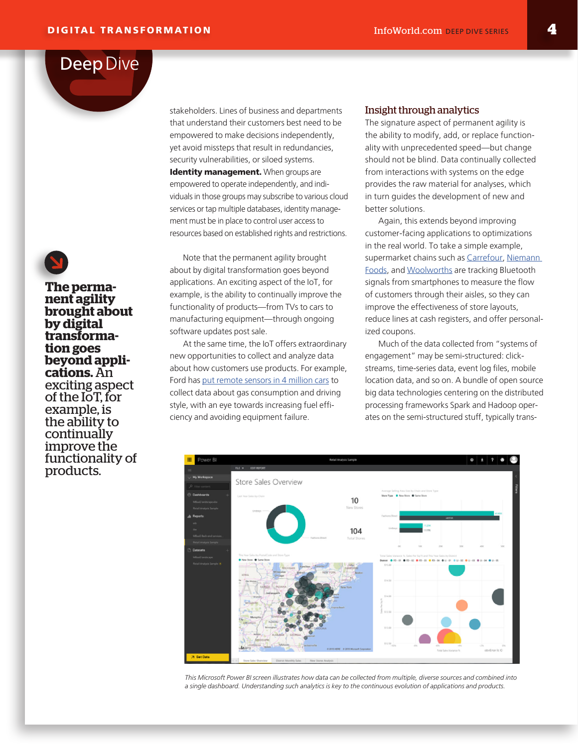stakeholders. Lines of business and departments that understand their customers best need to be empowered to make decisions independently, yet avoid missteps that result in redundancies, security vulnerabilities, or siloed systems. Identity management. When groups are empowered to operate independently, and individuals in those groups may subscribe to various cloud services or tap multiple databases, identity management must be in place to control user access to resources based on established rights and restrictions.

Note that the permanent agility brought about by digital transformation goes beyond applications. An exciting aspect of the IoT, for example, is the ability to continually improve the functionality of products—from TVs to cars to manufacturing equipment—through ongoing software updates post sale.

At the same time, the IoT offers extraordinary new opportunities to collect and analyze data about how customers use products. For example, Ford has [put remote sensors in 4 million cars](https://digit.hbs.org/submission/driving-in-the-direction-of-big-data-ford-motor-company/#_blank) to collect data about gas consumption and driving style, with an eye towards increasing fuel efficiency and avoiding equipment failure.

## Insight through analytics

The signature aspect of permanent agility is the ability to modify, add, or replace functionality with unprecedented speed—but change should not be blind. Data continually collected from interactions with systems on the edge provides the raw material for analyses, which in turn guides the development of new and better solutions.

Again, this extends beyond improving customer-facing applications to optimizations in the real world. To take a simple example, supermarket chains such as [Carrefour,](http://www.rfidjournal.com/articles/view?11991#_blank) Niemann [Foods,](https://www.internetretailer.com/2015/02/19/grocery-store-rolls-out-beacons-ping-shoppers-smartphones#_blank) and [Woolworths](http://blog.beaconstac.com/2016/02/25-retailers-nailing-it-with-their-proximity-marketing-campaigns/#_blank) are tracking Bluetooth signals from smartphones to measure the flow of customers through their aisles, so they can improve the effectiveness of store layouts, reduce lines at cash registers, and offer personalized coupons.

Much of the data collected from "systems of engagement" may be semi-structured: clickstreams, time-series data, event log files, mobile location data, and so on. A bundle of open source big data technologies centering on the distributed processing frameworks Spark and Hadoop operates on the semi-structured stuff, typically trans-



*This Microsoft Power BI screen illustrates how data can be collected from multiple, diverse sources and combined into a single dashboard. Understanding such analytics is key to the continuous evolution of applications and products.*

**The perma- nent agility brought about by digital transforma- tion goes beyond appli- cations.** An exciting aspect of the IoT, for example, is the ability to continually improve the functionality of products.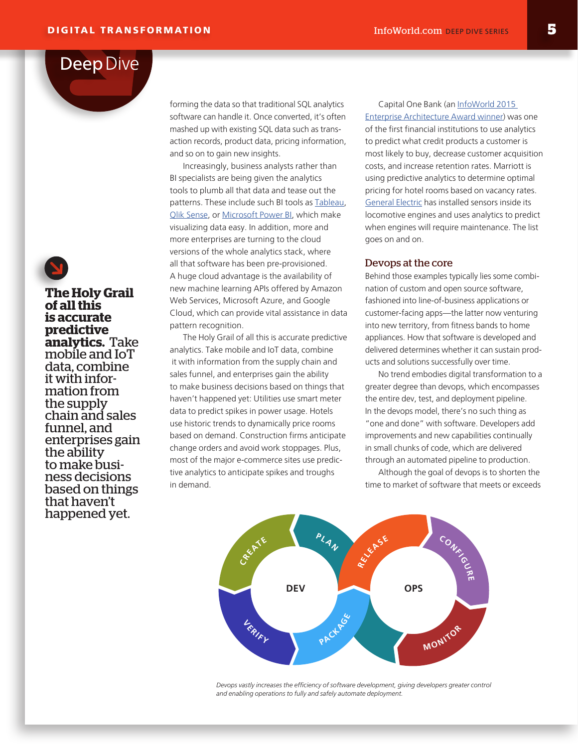forming the data so that traditional SQL analytics software can handle it. Once converted, it's often mashed up with existing SQL data such as transaction records, product data, pricing information, and so on to gain new insights.

Increasingly, business analysts rather than BI specialists are being given the analytics tools to plumb all that data and tease out the patterns. These include such BI tools as [Tableau,](http://www.infoworld.com/article/2944806/data-visualization/self-service-bi-review-tableau-vs-qlik-sense-vs-power-bi.html) [Qlik Sense](http://www.infoworld.com/article/2944806/data-visualization/self-service-bi-review-tableau-vs-qlik-sense-vs-power-bi.html), or [Microsoft Power BI](http://www.infoworld.com/article/2944806/data-visualization/self-service-bi-review-tableau-vs-qlik-sense-vs-power-bi.html), which make visualizing data easy. In addition, more and more enterprises are turning to the cloud versions of the whole analytics stack, where all that software has been pre-provisioned. A huge cloud advantage is the availability of new machine learning APIs offered by Amazon Web Services, Microsoft Azure, and Google Cloud, which can provide vital assistance in data pattern recognition.

The Holy Grail of all this is accurate predictive analytics. Take mobile and IoT data, combine it with information from the supply chain and sales funnel, and enterprises gain the ability to make business decisions based on things that haven't happened yet: Utilities use smart meter data to predict spikes in power usage. Hotels use historic trends to dynamically price rooms based on demand. Construction firms anticipate change orders and avoid work stoppages. Plus, most of the major e-commerce sites use predictive analytics to anticipate spikes and troughs in demand.

Capital One Bank (an [InfoWorld 2015](http://www.infoworld.com/article/2984801/enterprise-architecture/the-2015-enterprise-architecture-awards.html#_blank)  [Enterprise Architecture Award winner](http://www.infoworld.com/article/2984801/enterprise-architecture/the-2015-enterprise-architecture-awards.html#_blank)) was one of the first financial institutions to use analytics to predict what credit products a customer is most likely to buy, decrease customer acquisition costs, and increase retention rates. Marriott is using predictive analytics to determine optimal pricing for hotel rooms based on vacancy rates. [General Electric](https://www.fastcompany.com/3031272/can-jeff-immelt-really-make-the-world-1-better#_blank) has installed sensors inside its locomotive engines and uses analytics to predict when engines will require maintenance. The list goes on and on.

#### Devops at the core

Behind those examples typically lies some combination of custom and open source software, fashioned into line-of-business applications or customer-facing apps—the latter now venturing into new territory, from fitness bands to home appliances. How that software is developed and delivered determines whether it can sustain products and solutions successfully over time.

No trend embodies digital transformation to a greater degree than devops, which encompasses the entire dev, test, and deployment pipeline. In the devops model, there's no such thing as "one and done" with software. Developers add improvements and new capabilities continually in small chunks of code, which are delivered through an automated pipeline to production.

Although the goal of devops is to shorten the time to market of software that meets or exceeds



*Devops vastly increases the efficiency of software development, giving developers greater control and enabling operations to fully and safely automate deployment.*



**of all this is accurate predictive analytics.** Take mobile and IoT data, combine it with infor- mation from the supply chain and sales funnel, and enterprises gain the ability<br>to make business decisions based on things that haven't happened yet.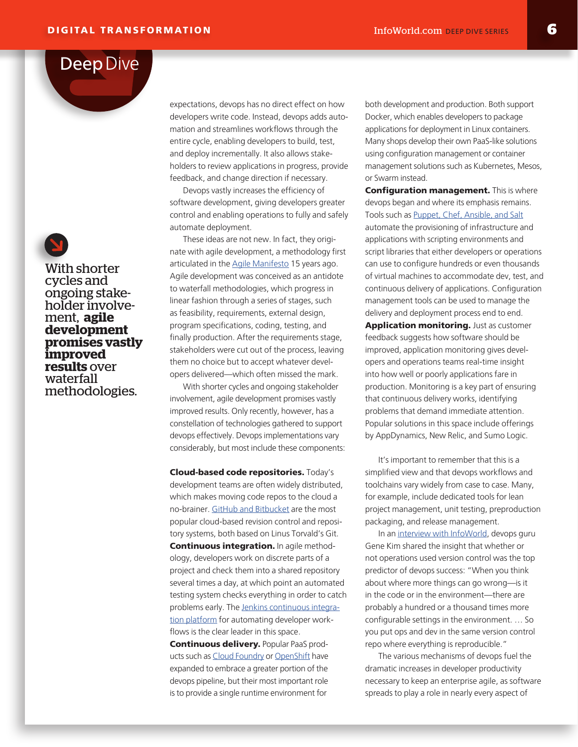expectations, devops has no direct effect on how developers write code. Instead, devops adds automation and streamlines workflows through the entire cycle, enabling developers to build, test, and deploy incrementally. It also allows stakeholders to review applications in progress, provide feedback, and change direction if necessary.

Devops vastly increases the efficiency of software development, giving developers greater control and enabling operations to fully and safely automate deployment.

These ideas are not new. In fact, they originate with agile development, a methodology first articulated in the [Agile Manifesto](http://agilemanifesto.org/) 15 years ago. Agile development was conceived as an antidote to waterfall methodologies, which progress in linear fashion through a series of stages, such as feasibility, requirements, external design, program specifications, coding, testing, and finally production. After the requirements stage, stakeholders were cut out of the process, leaving them no choice but to accept whatever developers delivered—which often missed the mark.

With shorter cycles and ongoing stakeholder involvement, agile development promises vastly improved results. Only recently, however, has a constellation of technologies gathered to support devops effectively. Devops implementations vary considerably, but most include these components:

Cloud-based code repositories. Today's development teams are often widely distributed, which makes moving code repos to the cloud a no-brainer. [GitHub and Bitbucket](http://www.infoworld.com/article/3010856/application-development/bitbucket-vs-github-which-project-host-has-the-most.html) are the most popular cloud-based revision control and repository systems, both based on Linus Torvald's Git. **Continuous integration.** In agile methodology, developers work on discrete parts of a project and check them into a shared repository several times a day, at which point an automated testing system checks everything in order to catch problems early. The [Jenkins continuous integra](http://www.infoworld.com/article/3046038/application-development/why-jenkins-is-becoming-the-engine-of-devops.html)[tion platform](http://www.infoworld.com/article/3046038/application-development/why-jenkins-is-becoming-the-engine-of-devops.html) for automating developer workflows is the clear leader in this space.

Continuous delivery. Popular PaaS products such as [Cloud Foundry](http://www.infoworld.com/article/2608299/cloud-computing/review--cloud-foundry-brings-power-and-polish-to-paas.html) or [OpenShift](http://www.infoworld.com/article/3005681/paas/review-openshift-3-rocks-docker-containers.html) have expanded to embrace a greater portion of the devops pipeline, but their most important role is to provide a single runtime environment for

both development and production. Both support Docker, which enables developers to package applications for deployment in Linux containers. Many shops develop their own PaaS-like solutions using configuration management or container management solutions such as Kubernetes, Mesos, or Swarm instead.

**Configuration management.** This is where devops began and where its emphasis remains. Tools such as [Puppet, Chef, Ansible, and Salt](http://www.infoworld.com/article/2609482/data-center/data-center-review-puppet-vs-chef-vs-ansible-vs-salt.html) automate the provisioning of infrastructure and applications with scripting environments and script libraries that either developers or operations can use to configure hundreds or even thousands of virtual machines to accommodate dev, test, and continuous delivery of applications. Configuration management tools can be used to manage the delivery and deployment process end to end. Application monitoring. Just as customer feedback suggests how software should be improved, application monitoring gives developers and operations teams real-time insight into how well or poorly applications fare in production. Monitoring is a key part of ensuring that continuous delivery works, identifying problems that demand immediate attention. Popular solutions in this space include offerings by AppDynamics, New Relic, and Sumo Logic.

It's important to remember that this is a simplified view and that devops workflows and toolchains vary widely from case to case. Many, for example, include dedicated tools for lean project management, unit testing, preproduction packaging, and release management.

In an [interview with InfoWorld](http://www.infoworld.com/article/3056790/devops/qa-gene-kim-explains-the-joy-of-devops.html), devops guru Gene Kim shared the insight that whether or not operations used version control was the top predictor of devops success: "When you think about where more things can go wrong—is it in the code or in the environment—there are probably a hundred or a thousand times more configurable settings in the environment. … So you put ops and dev in the same version control repo where everything is reproducible."

The various mechanisms of devops fuel the dramatic increases in developer productivity necessary to keep an enterprise agile, as software spreads to play a role in nearly every aspect of

With shorter cycles and ongoing stake- holder involve- ment, **agile development promises vastly improved results** over waterfall methodologies.